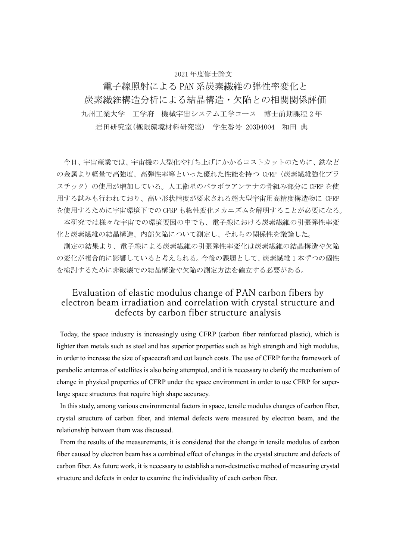#### 2021 年度修士論文

電子線照射による PAN 系炭素繊維の弾性率変化と 炭素繊維構造分析による結晶構造・欠陥との相関関係評価 九州工業大学 工学府 機械宇宙システム工学コース 博士前期課程 2 年 岩田研究室(極限環境材料研究室) 学生番号 203D4004 和田 典

今日、宇宙産業では、宇宙機の大型化や打ち上げにかかるコストカットのために、鉄など の金属より軽量で高強度、高弾性率等といった優れた性能を持つ CFRP(炭素繊維強化プラ スチック)の使用が増加している。人工衛星のパラボラアンテナの骨組み部分に CFRP を使 用する試みも行われており、高い形状精度が要求される超大型宇宙用高精度構造物に CFRP を使用するために宇宙環境下での CFRP も物性変化メカニズムを解明することが必要になる。 本研究では様々な宇宙での環境要因の中でも、電子線における炭素繊維の引張弾性率変 化と炭素繊維の結晶構造、内部欠陥について測定し、それらの関係性を議論した。

測定の結果より、電子線による炭素繊維の引張弾性率変化は炭素繊維の結晶構造や欠陥 の変化が複合的に影響していると考えられる。今後の課題として、炭素繊維 1 本ずつの個性 を検討するために非破壊での結晶構造や欠陥の測定方法を確立する必要がある。

#### Evaluation of elastic modulus change of PAN carbon fibers by electron beam irradiation and correlation with crystal structure and defects by carbon fiber structure analysis

Today, the space industry is increasingly using CFRP (carbon fiber reinforced plastic), which is lighter than metals such as steel and has superior properties such as high strength and high modulus, in order to increase the size of spacecraft and cut launch costs. The use of CFRP for the framework of parabolic antennas of satellites is also being attempted, and it is necessary to clarify the mechanism of change in physical properties of CFRP under the space environment in order to use CFRP for superlarge space structures that require high shape accuracy.

In this study, among various environmental factors in space, tensile modulus changes of carbon fiber, crystal structure of carbon fiber, and internal defects were measured by electron beam, and the relationship between them was discussed.

From the results of the measurements, it is considered that the change in tensile modulus of carbon fiber caused by electron beam has a combined effect of changes in the crystal structure and defects of carbon fiber. As future work, it is necessary to establish a non-destructive method of measuring crystal structure and defects in order to examine the individuality of each carbon fiber.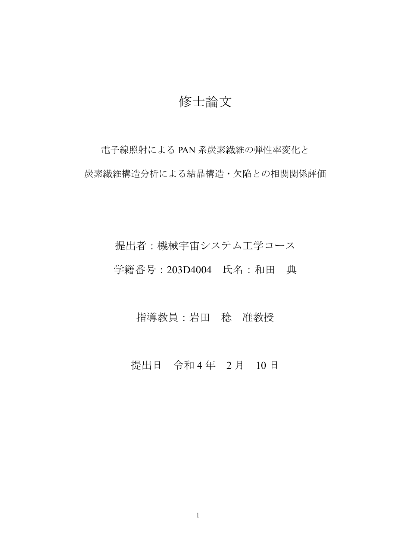## 修士論文

電子線照射による PAN 系炭素繊維の弾性率変化と 炭素繊維構造分析による結晶構造・欠陥との相関関係評価

# 提出者:機械宇宙システム工学コース 学籍番号:203D4004 氏名:和田 典

### 指導教員:岩田 稔 准教授

### 提出日 令和4年 2月 10日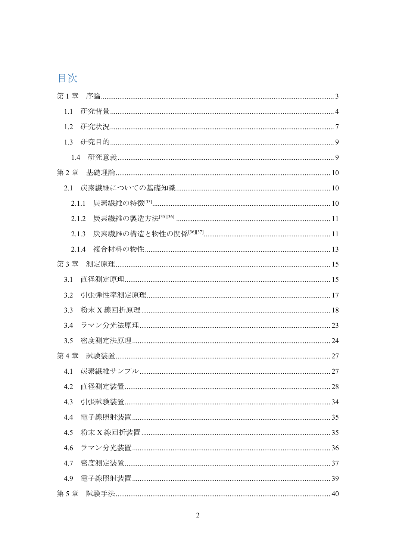## 目次

| 第1章   |  |
|-------|--|
| 1.1   |  |
| 1.2   |  |
| 1.3   |  |
| 1.4   |  |
| 第2章   |  |
| 2.1   |  |
| 2.1.1 |  |
| 2.1.2 |  |
| 2.1.3 |  |
| 2.1.4 |  |
| 第3章   |  |
| 3.1   |  |
| 3.2   |  |
| 3.3   |  |
| 3.4   |  |
| 3.5   |  |
| 第4章   |  |
| 4.1   |  |
| 4.2   |  |
| 4.3   |  |
| 4.4   |  |
| 4.5   |  |
| 4.6   |  |
| 4.7   |  |
| 4.9   |  |
|       |  |